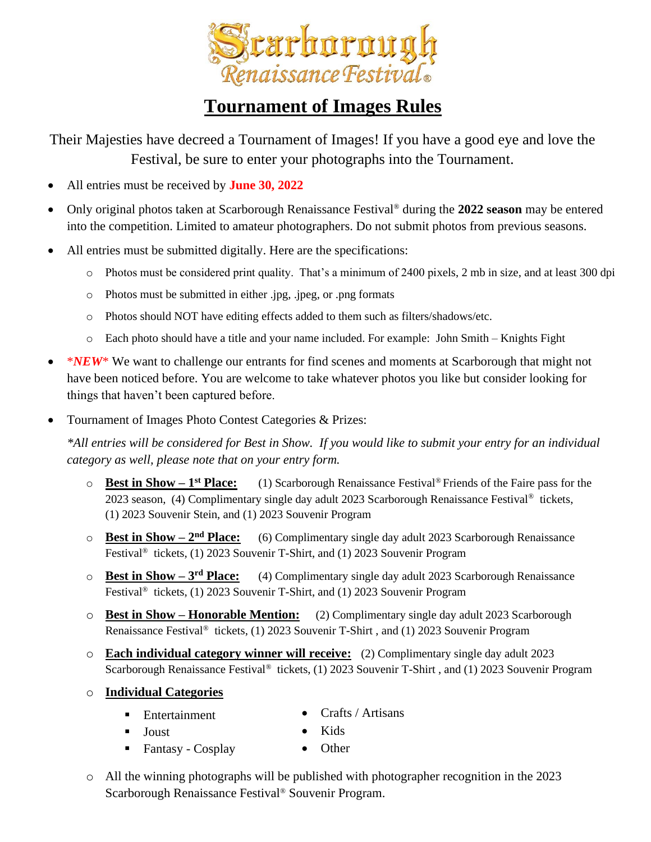

## **Tournament of Images Rules**

Their Majesties have decreed a Tournament of Images! If you have a good eye and love the Festival, be sure to enter your photographs into the Tournament.

- All entries must be received by **June 30, 2022**
- Only original photos taken at Scarborough Renaissance Festival® during the **2022 season** may be entered into the competition. Limited to amateur photographers. Do not submit photos from previous seasons.
- All entries must be submitted digitally. Here are the specifications:
	- o Photos must be considered print quality. That's a minimum of 2400 pixels, 2 mb in size, and at least 300 dpi
	- o Photos must be submitted in either .jpg, .jpeg, or .png formats
	- o Photos should NOT have editing effects added to them such as filters/shadows/etc.
	- o Each photo should have a title and your name included. For example: John Smith Knights Fight
- *\*NEW*\* We want to challenge our entrants for find scenes and moments at Scarborough that might not have been noticed before. You are welcome to take whatever photos you like but consider looking for things that haven't been captured before.
- Tournament of Images Photo Contest Categories & Prizes:

*\*All entries will be considered for Best in Show. If you would like to submit your entry for an individual category as well, please note that on your entry form.* 

- $\circ$  **Best in Show 1<sup>st</sup> Place: st Place:** (1) Scarborough Renaissance Festival® Friends of the Faire pass for the 2023 season, (4) Complimentary single day adult 2023 Scarborough Renaissance Festival® tickets, (1) 2023 Souvenir Stein, and (1) 2023 Souvenir Program
- o **Best in Show – 2 nd Place:** (6) Complimentary single day adult 2023 Scarborough Renaissance Festival® tickets, (1) 2023 Souvenir T-Shirt, and (1) 2023 Souvenir Program
- o **Best in Show – 3 rd Place:** (4) Complimentary single day adult 2023 Scarborough Renaissance Festival® tickets, (1) 2023 Souvenir T-Shirt, and (1) 2023 Souvenir Program
- o **Best in Show – Honorable Mention:** (2) Complimentary single day adult 2023 Scarborough Renaissance Festival® tickets, (1) 2023 Souvenir T-Shirt , and (1) 2023 Souvenir Program
- o **Each individual category winner will receive:** (2) Complimentary single day adult 2023 Scarborough Renaissance Festival® tickets, (1) 2023 Souvenir T-Shirt , and (1) 2023 Souvenir Program
- o **Individual Categories**
	- Entertainment • Crafts / Artisans
	- Joust

■ Fantasy - Cosplay

- Kids • Other
- o All the winning photographs will be published with photographer recognition in the 2023 Scarborough Renaissance Festival® Souvenir Program.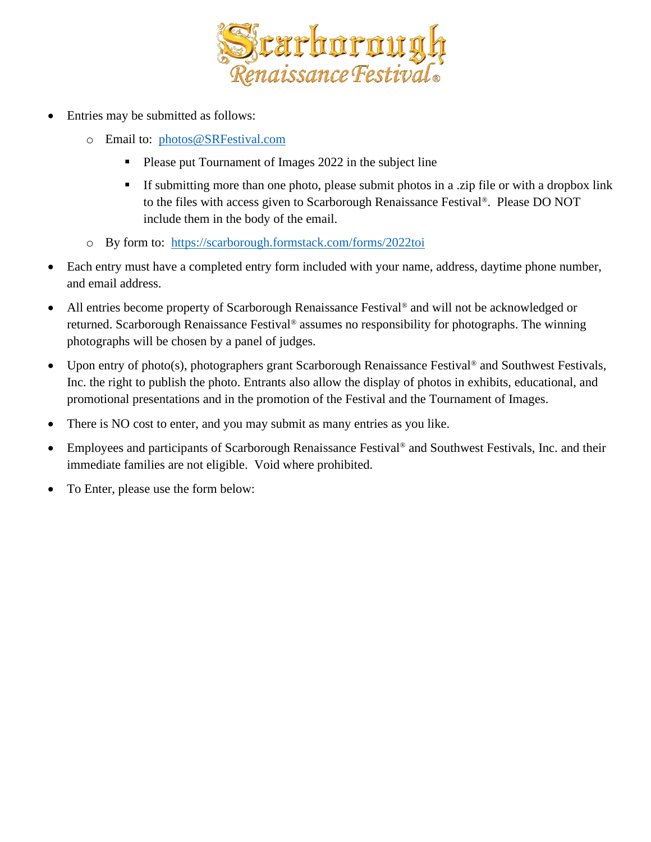

- Entries may be submitted as follows:
	- o Email to: [photos@SRFestival.com](mailto:photos@SRFestival.com)
		- Please put Tournament of Images 2022 in the subject line
		- If submitting more than one photo, please submit photos in a .zip file or with a dropbox link to the files with access given to Scarborough Renaissance Festival®. Please DO NOT include them in the body of the email.
	- o By form to: <https://scarborough.formstack.com/forms/2022toi>
- Each entry must have a completed entry form included with your name, address, daytime phone number, and email address.
- All entries become property of Scarborough Renaissance Festival<sup>®</sup> and will not be acknowledged or returned. Scarborough Renaissance Festival® assumes no responsibility for photographs. The winning photographs will be chosen by a panel of judges.
- Upon entry of photo(s), photographers grant Scarborough Renaissance Festival<sup>®</sup> and Southwest Festivals, Inc. the right to publish the photo. Entrants also allow the display of photos in exhibits, educational, and promotional presentations and in the promotion of the Festival and the Tournament of Images.
- There is NO cost to enter, and you may submit as many entries as you like.
- Employees and participants of Scarborough Renaissance Festival<sup>®</sup> and Southwest Festivals, Inc. and their immediate families are not eligible. Void where prohibited.
- To Enter, please use the form below: